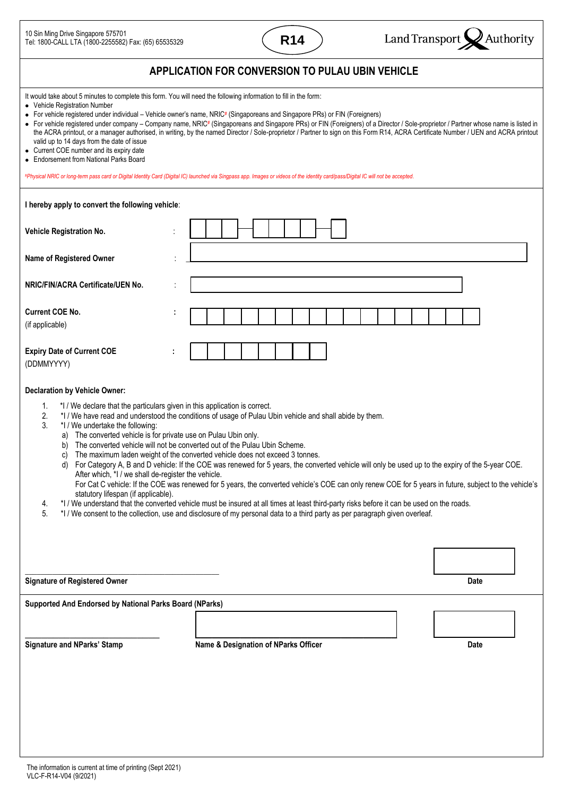| 10 Sin Ming Drive Singapore 575701<br>Tel: 1800-CALL LTA (1800-2255582) Fax: (65) 65535329                                                                                                                                                                                                                                                                                                                      | <b>R14</b>                                                                                                                                                                                                                                                                                                                                                                                                                                                                                                                                                                                                                                                                                          | Land Transport<br>Authority                                                                                                                                                                                                                                                                                                                                                |
|-----------------------------------------------------------------------------------------------------------------------------------------------------------------------------------------------------------------------------------------------------------------------------------------------------------------------------------------------------------------------------------------------------------------|-----------------------------------------------------------------------------------------------------------------------------------------------------------------------------------------------------------------------------------------------------------------------------------------------------------------------------------------------------------------------------------------------------------------------------------------------------------------------------------------------------------------------------------------------------------------------------------------------------------------------------------------------------------------------------------------------------|----------------------------------------------------------------------------------------------------------------------------------------------------------------------------------------------------------------------------------------------------------------------------------------------------------------------------------------------------------------------------|
|                                                                                                                                                                                                                                                                                                                                                                                                                 | APPLICATION FOR CONVERSION TO PULAU UBIN VEHICLE                                                                                                                                                                                                                                                                                                                                                                                                                                                                                                                                                                                                                                                    |                                                                                                                                                                                                                                                                                                                                                                            |
| It would take about 5 minutes to complete this form. You will need the following information to fill in the form:<br>• Vehicle Registration Number<br>valid up to 14 days from the date of issue<br>• Current COE number and its expiry date<br>• Endorsement from National Parks Board                                                                                                                         | • For vehicle registered under individual - Vehicle owner's name, NRIC# (Singaporeans and Singapore PRs) or FIN (Foreigners)<br>#Physical NRIC or long-term pass card or Digital Identity Card (Digital IC) launched via Singpass app. Images or videos of the identity card/pass/Digital IC will not be accepted.                                                                                                                                                                                                                                                                                                                                                                                  | • For vehicle registered under company - Company name, NRIC# (Singaporeans and Singapore PRs) or FIN (Foreigners) of a Director / Sole-proprietor / Partner whose name is listed in<br>the ACRA printout, or a manager authorised, in writing, by the named Director / Sole-proprietor / Partner to sign on this Form R14, ACRA Certificate Number / UEN and ACRA printout |
| I hereby apply to convert the following vehicle:                                                                                                                                                                                                                                                                                                                                                                |                                                                                                                                                                                                                                                                                                                                                                                                                                                                                                                                                                                                                                                                                                     |                                                                                                                                                                                                                                                                                                                                                                            |
| Vehicle Registration No.                                                                                                                                                                                                                                                                                                                                                                                        |                                                                                                                                                                                                                                                                                                                                                                                                                                                                                                                                                                                                                                                                                                     |                                                                                                                                                                                                                                                                                                                                                                            |
| Name of Registered Owner                                                                                                                                                                                                                                                                                                                                                                                        |                                                                                                                                                                                                                                                                                                                                                                                                                                                                                                                                                                                                                                                                                                     |                                                                                                                                                                                                                                                                                                                                                                            |
| NRIC/FIN/ACRA Certificate/UEN No.                                                                                                                                                                                                                                                                                                                                                                               |                                                                                                                                                                                                                                                                                                                                                                                                                                                                                                                                                                                                                                                                                                     |                                                                                                                                                                                                                                                                                                                                                                            |
| <b>Current COE No.</b><br>(if applicable)                                                                                                                                                                                                                                                                                                                                                                       |                                                                                                                                                                                                                                                                                                                                                                                                                                                                                                                                                                                                                                                                                                     |                                                                                                                                                                                                                                                                                                                                                                            |
| <b>Expiry Date of Current COE</b><br>(DDMMYYYY)                                                                                                                                                                                                                                                                                                                                                                 |                                                                                                                                                                                                                                                                                                                                                                                                                                                                                                                                                                                                                                                                                                     |                                                                                                                                                                                                                                                                                                                                                                            |
| <b>Declaration by Vehicle Owner:</b><br>*I / We declare that the particulars given in this application is correct.<br>1.<br>2.<br>3.<br>*I / We undertake the following:<br>a) The converted vehicle is for private use on Pulau Ubin only.<br>b)<br>C)<br>d)<br>After which, *I / we shall de-register the vehicle.<br>statutory lifespan (if applicable).<br>4.<br>5.<br><b>Signature of Registered Owner</b> | *I / We have read and understood the conditions of usage of Pulau Ubin vehicle and shall abide by them.<br>The converted vehicle will not be converted out of the Pulau Ubin Scheme.<br>The maximum laden weight of the converted vehicle does not exceed 3 tonnes.<br>For Category A, B and D vehicle: If the COE was renewed for 5 years, the converted vehicle will only be used up to the expiry of the 5-year COE.<br>*I / We understand that the converted vehicle must be insured at all times at least third-party risks before it can be used on the roads.<br>*I / We consent to the collection, use and disclosure of my personal data to a third party as per paragraph given overleaf. | For Cat C vehicle: If the COE was renewed for 5 years, the converted vehicle's COE can only renew COE for 5 years in future, subject to the vehicle's<br><b>Date</b>                                                                                                                                                                                                       |
| Supported And Endorsed by National Parks Board (NParks)                                                                                                                                                                                                                                                                                                                                                         |                                                                                                                                                                                                                                                                                                                                                                                                                                                                                                                                                                                                                                                                                                     |                                                                                                                                                                                                                                                                                                                                                                            |
| <b>Signature and NParks' Stamp</b>                                                                                                                                                                                                                                                                                                                                                                              | Name & Designation of NParks Officer                                                                                                                                                                                                                                                                                                                                                                                                                                                                                                                                                                                                                                                                | Date                                                                                                                                                                                                                                                                                                                                                                       |
|                                                                                                                                                                                                                                                                                                                                                                                                                 |                                                                                                                                                                                                                                                                                                                                                                                                                                                                                                                                                                                                                                                                                                     |                                                                                                                                                                                                                                                                                                                                                                            |

 $\overline{\phantom{a}}$